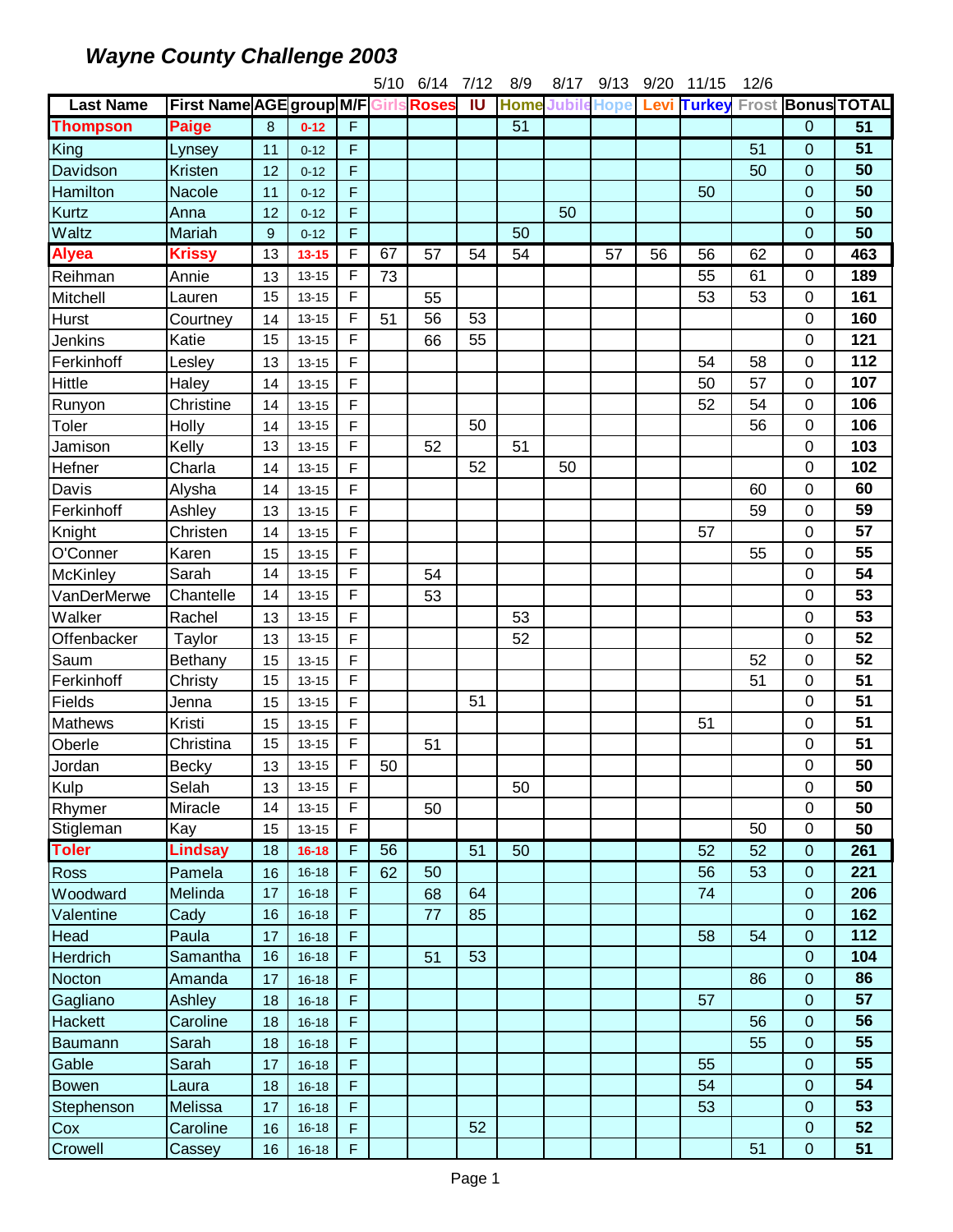|                  |                                      |          |                        |             | 5/10 | 6/14 | 7/12                    | 8/9             | 8/17 | 9/13                    | 9/20 | 11/15         | 12/6 |                |                          |
|------------------|--------------------------------------|----------|------------------------|-------------|------|------|-------------------------|-----------------|------|-------------------------|------|---------------|------|----------------|--------------------------|
| <b>Last Name</b> | First Name AGE group M/F Girls Roses |          |                        |             |      |      | $\overline{\mathsf{I}}$ |                 |      | <b>Home Jubile Hope</b> | Levi | <b>Turkey</b> |      |                | <b>Frost Bonus TOTAL</b> |
| <b>Thompson</b>  | <b>Paige</b>                         | 8        | $0 - 12$               | F           |      |      |                         | $\overline{51}$ |      |                         |      |               |      | 0              | 51                       |
| King             | Lynsey                               | 11       | $0 - 12$               | F           |      |      |                         |                 |      |                         |      |               | 51   | 0              | 51                       |
| Davidson         | Kristen                              | 12       | $0 - 12$               | F           |      |      |                         |                 |      |                         |      |               | 50   | 0              | 50                       |
| Hamilton         | Nacole                               | 11       | $0 - 12$               | F           |      |      |                         |                 |      |                         |      | 50            |      | 0              | 50                       |
| <b>Kurtz</b>     | Anna                                 | 12       | $0 - 12$               | F           |      |      |                         |                 | 50   |                         |      |               |      | 0              | 50                       |
| Waltz            | Mariah                               | $9\,$    | $0 - 12$               | F           |      |      |                         | 50              |      |                         |      |               |      | $\overline{0}$ | 50                       |
| <b>Alyea</b>     | <b>Krissy</b>                        | 13       | $13 - 15$              | F           | 67   | 57   | 54                      | 54              |      | 57                      | 56   | 56            | 62   | 0              | 463                      |
| Reihman          | Annie                                | 13       | $13 - 15$              | F           | 73   |      |                         |                 |      |                         |      | 55            | 61   | 0              | 189                      |
| Mitchell         | Lauren                               | 15       | $13 - 15$              | F           |      | 55   |                         |                 |      |                         |      | 53            | 53   | 0              | 161                      |
| <b>Hurst</b>     | Courtney                             | 14       | $13 - 15$              | F           | 51   | 56   | 53                      |                 |      |                         |      |               |      | 0              | 160                      |
| Jenkins          | Katie                                | 15       | $13 - 15$              | F           |      | 66   | 55                      |                 |      |                         |      |               |      | 0              | 121                      |
| Ferkinhoff       | Lesley                               | 13       | $13 - 15$              | F           |      |      |                         |                 |      |                         |      | 54            | 58   | 0              | 112                      |
| Hittle           | Haley                                | 14       | $13 - 15$              | F           |      |      |                         |                 |      |                         |      | 50            | 57   | 0              | 107                      |
| Runyon           | Christine                            | 14       | $13 - 15$              | F           |      |      |                         |                 |      |                         |      | 52            | 54   | 0              | 106                      |
| Toler            | Holly                                | 14       | $13 - 15$              | F           |      |      | 50                      |                 |      |                         |      |               | 56   | 0              | 106                      |
| Jamison          | Kelly                                | 13       | $13 - 15$              | F           |      | 52   |                         | 51              |      |                         |      |               |      | 0              | 103                      |
| Hefner           | Charla                               | 14       | $13 - 15$              | F           |      |      | 52                      |                 | 50   |                         |      |               |      | 0              | 102                      |
| Davis            | Alysha                               | 14       | $13 - 15$              | F           |      |      |                         |                 |      |                         |      |               | 60   | 0              | 60                       |
| Ferkinhoff       | Ashley                               | 13       | $13 - 15$              | F           |      |      |                         |                 |      |                         |      |               | 59   | 0              | 59                       |
| Knight           | Christen                             | 14       | $13 - 15$              | F           |      |      |                         |                 |      |                         |      | 57            |      | 0              | 57                       |
| O'Conner         | Karen                                | 15       | $13 - 15$              | F           |      |      |                         |                 |      |                         |      |               | 55   | 0              | 55                       |
| McKinley         | Sarah                                | 14       | $13 - 15$              | F           |      | 54   |                         |                 |      |                         |      |               |      | 0              | 54                       |
| VanDerMerwe      | Chantelle                            | 14       | $13 - 15$              | F           |      | 53   |                         |                 |      |                         |      |               |      | 0              | 53                       |
| Walker           | Rachel                               | 13       | $13 - 15$              | F           |      |      |                         | 53              |      |                         |      |               |      | 0              | 53                       |
| Offenbacker      | Taylor                               | 13       | $13 - 15$              | F           |      |      |                         | 52              |      |                         |      |               |      | 0              | 52                       |
| Saum             | Bethany                              | 15       | $13 - 15$              | F           |      |      |                         |                 |      |                         |      |               | 52   | 0              | 52                       |
| Ferkinhoff       | Christy                              | 15       | $13 - 15$              | F           |      |      |                         |                 |      |                         |      |               | 51   | 0              | 51                       |
| Fields           | Jenna                                | 15       | $13 - 15$              | F           |      |      | 51                      |                 |      |                         |      |               |      | 0              | 51                       |
| <b>Mathews</b>   | Kristi                               | 15       | $13 - 15$              | F           |      |      |                         |                 |      |                         |      | 51            |      | 0              | 51                       |
| Oberle           | Christina                            | 15       | $13 - 15$              | F           |      | 51   |                         |                 |      |                         |      |               |      | 0              | 51                       |
| Jordan           | <b>Becky</b>                         | 13       | $13 - 15$              | F           | 50   |      |                         |                 |      |                         |      |               |      | 0              | 50                       |
| Kulp             | Selah                                | 13       | $13 - 15$              | F           |      |      |                         | 50              |      |                         |      |               |      | 0              | 50                       |
| Rhymer           | Miracle                              | 14       | $13 - 15$              | F           |      | 50   |                         |                 |      |                         |      |               |      | 0              | 50                       |
| Stigleman        | Kay                                  | 15       | $13 - 15$              | F           |      |      |                         |                 |      |                         |      |               | 50   | 0              | 50                       |
| <b>Toler</b>     | <b>Lindsay</b>                       | 18       | $16 - 18$              | F           | 56   |      | 51                      | 50              |      |                         |      | 52            | 52   | 0              | 261                      |
| Ross             | Pamela                               | 16       | $16 - 18$              | F           | 62   | 50   |                         |                 |      |                         |      | 56            | 53   | 0              | 221                      |
| Woodward         | Melinda                              | 17       | $16 - 18$              | F           |      | 68   | 64                      |                 |      |                         |      | 74            |      | 0              | 206                      |
| Valentine        | Cady                                 | 16       | $16 - 18$              | F           |      | 77   | 85                      |                 |      |                         |      |               |      | $\mathbf 0$    | 162                      |
|                  | Paula                                |          |                        | F           |      |      |                         |                 |      |                         |      |               | 54   | $\mathbf 0$    | 112                      |
| Head<br>Herdrich | Samantha                             | 17<br>16 | $16 - 18$<br>$16 - 18$ | F           |      | 51   | 53                      |                 |      |                         |      | 58            |      | 0              | 104                      |
|                  |                                      |          |                        |             |      |      |                         |                 |      |                         |      |               |      |                | 86                       |
| Nocton           | Amanda                               | 17       | $16 - 18$              | F           |      |      |                         |                 |      |                         |      |               | 86   | 0              |                          |
| Gagliano         | Ashley                               | 18       | $16 - 18$              | F           |      |      |                         |                 |      |                         |      | 57            |      | 0              | 57<br>56                 |
| <b>Hackett</b>   | Caroline                             | 18       | $16 - 18$              | F           |      |      |                         |                 |      |                         |      |               | 56   | 0              |                          |
| Baumann          | Sarah                                | 18       | $16 - 18$              | F           |      |      |                         |                 |      |                         |      |               | 55   | 0              | 55                       |
| Gable            | Sarah                                | 17       | $16 - 18$              | F           |      |      |                         |                 |      |                         |      | 55            |      | 0              | 55                       |
| <b>Bowen</b>     | Laura                                | 18       | $16 - 18$              | F           |      |      |                         |                 |      |                         |      | 54            |      | 0              | 54                       |
| Stephenson       | Melissa                              | 17       | $16 - 18$              | F           |      |      |                         |                 |      |                         |      | 53            |      | 0              | 53                       |
| Cox              | Caroline                             | 16       | $16 - 18$              | F           |      |      | 52                      |                 |      |                         |      |               |      | 0              | 52                       |
| Crowell          | Cassey                               | 16       | $16 - 18$              | $\mathsf F$ |      |      |                         |                 |      |                         |      |               | 51   | $\mathbf 0$    | 51                       |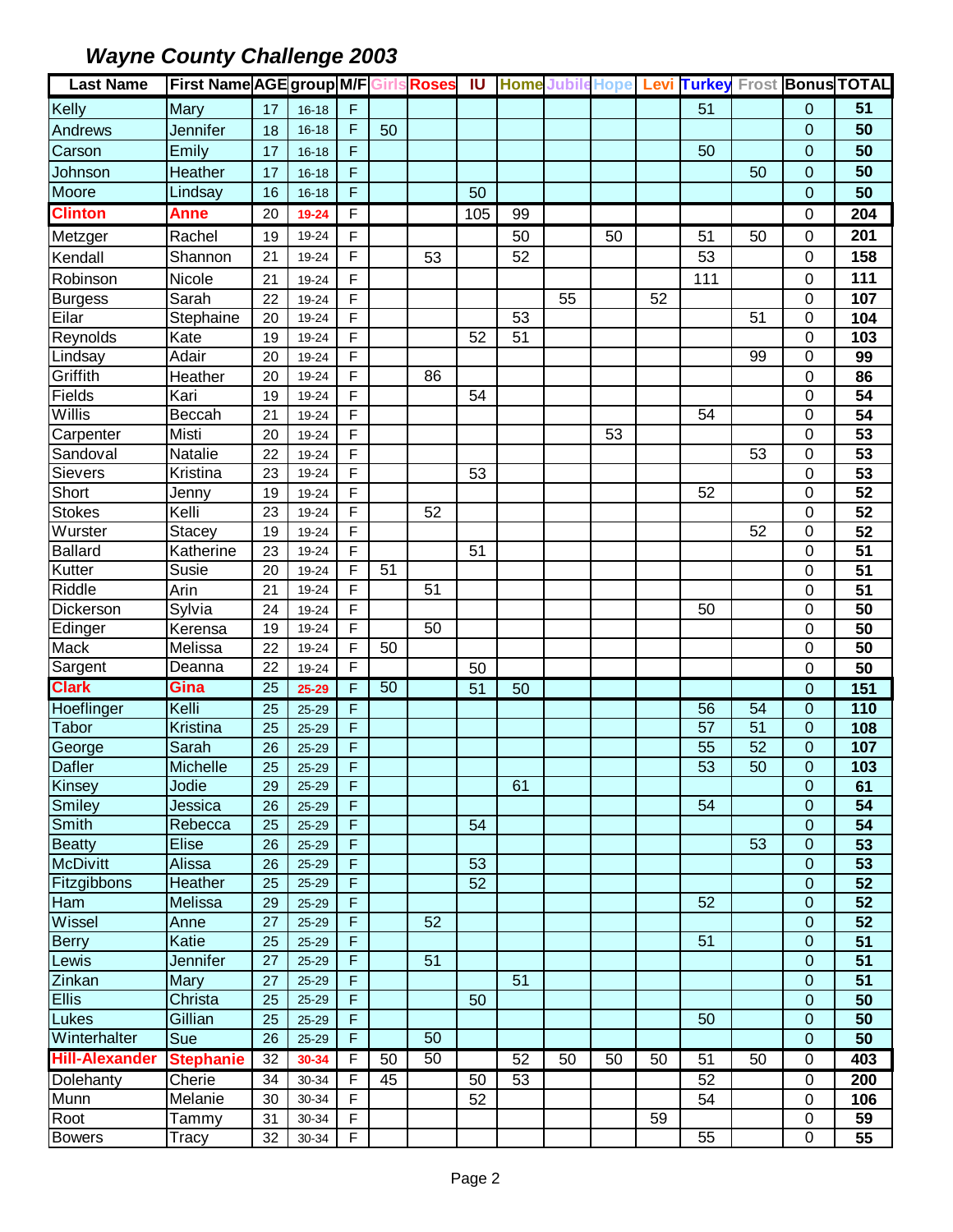| F<br>51<br>51<br>Mary<br>0<br>17<br>$16 - 18$<br>F<br>50<br>Jennifer<br>$\Omega$<br>$16 - 18$<br>50<br>18<br>50<br>Emily<br>F<br>50<br>0<br>17<br>$16 - 18$<br>F<br>50<br>$\mathbf 0$<br>Heather<br>50<br>17<br>$16 - 18$<br>Moore<br>F<br>50<br>50<br>0<br>Lindsay<br>16<br>$16 - 18$<br><b>Clinton</b><br>Anne<br>F<br>105<br>204<br>20<br>99<br>0<br>19-24<br>201<br>Metzger<br>Rachel<br>19-24<br>F<br>50<br>50<br>51<br>50<br>0<br>19<br>F<br>Kendall<br>52<br>53<br>158<br>21<br>53<br>0<br>Shannon<br>19-24<br>F<br>111<br>Robinson<br>Nicole<br>111<br>0<br>21<br>19-24<br>F<br><b>Burgess</b><br>Sarah<br>55<br>52<br>107<br>22<br>0<br>19-24<br>F<br>Eilar<br>53<br>51<br>0<br>Stephaine<br>104<br>20<br>19-24<br>Reynolds<br>F<br>51<br>Kate<br>52<br>103<br>19-24<br>0<br>19<br>Lindsay<br>Adair<br>F<br>0<br>99<br>99<br>20<br>19-24<br>Griffith<br>F<br>20<br>86<br>19-24<br>86<br>0<br>Heather<br>Fields<br>F<br>54<br>Kari<br>19-24<br>54<br>0<br>19<br>Willis<br>$\overline{54}$<br>F<br>54<br>Beccah<br>0<br>21<br>19-24<br>Carpenter<br>Misti<br>F<br>53<br>0<br>53<br>20<br>19-24<br>Sandoval<br>$\overline{53}$<br>F<br>53<br>0<br>Natalie<br>22<br>19-24<br>Sievers<br>F<br>53<br>Kristina<br>23<br>19-24<br>53<br>0<br>Short<br>$\overline{52}$<br>F<br>19<br>52<br>0<br>Jenny<br>19-24<br>F<br><b>Stokes</b><br>$\overline{52}$<br>Kelli<br>23<br>52<br>0<br>19-24<br>Wurster<br>F<br>52<br>0<br>52<br><b>Stacey</b><br>19<br>19-24<br>$\overline{51}$<br><b>Ballard</b><br>Katherine<br>F<br>51<br>0<br>23<br>19-24<br>Kutter<br>F<br>51<br>51<br>Susie<br>19-24<br>0<br>20<br>Riddle<br>51<br>Arin<br>F<br>51<br>19-24<br>0<br>21<br>Dickerson<br>F<br>50<br>Sylvia<br>50<br>0<br>24<br>19-24<br>Edinger<br>$\overline{50}$<br>F<br>50<br>19<br>19-24<br>0<br>Kerensa<br>Mack<br>F<br>50<br>Melissa<br>50<br>22<br>19-24<br>0<br>Sargent<br>F<br>50<br>22<br>50<br>Deanna<br>19-24<br>0<br><b>Clark</b><br>50<br>Gina<br>25<br>F<br>151<br>$25 - 29$<br>51<br>0<br>50<br>$\mathbf 0$<br>110<br>Hoeflinger<br>Kelli<br>56<br>54<br>F<br>25<br>25-29<br><b>Tabor</b><br>Kristina<br>F<br>57<br>51<br>0<br>108<br>25<br>$25 - 29$<br>$\overline{52}$<br>55<br>George<br>F<br>0<br>Sarah<br>26<br>107<br>25-29<br><b>Dafler</b><br>53<br>50<br>0<br>103<br>Michelle<br>F<br>25<br>25-29<br>Kinsey<br>Jodie<br>F<br>61<br>$25 - 29$<br>0<br>61<br>29<br>Smiley<br>F<br>54<br>0<br>Jessica<br>54<br>26<br>25-29<br>Smith<br>F<br>54<br>54<br>Rebecca<br>25-29<br>0<br>25<br>Beatty<br>$\overline{53}$<br>F<br>Elise<br>53<br>0<br>26<br>25-29<br><b>McDivitt</b><br>F<br>53<br>53<br>Alissa<br>0<br>26<br>25-29<br>Fitzgibbons<br>F<br>52<br>52<br>$\overline{0}$<br>Heather<br>25<br>$25 - 29$<br>F<br>52<br>$\overline{0}$<br>52<br>Melissa<br>29<br>$25 - 29$<br>Wissel<br>F<br>52<br>$25 - 29$<br>52<br>0<br>Anne<br>27<br>Berry<br>F<br>51<br>$\overline{0}$<br>51<br>Katie<br>25<br>$25 - 29$<br>Lewis<br>F<br>51<br>51<br>Jennifer<br>27<br>0<br>25-29<br>Zinkan<br>51<br>Mary<br>F<br>51<br>0<br>27<br>25-29<br>F<br>Christa<br>50<br>25<br>$25 - 29$<br>50<br>0<br>Gillian<br>50<br>0<br>F<br>50<br>25<br>$25 - 29$<br>F<br>50<br>Sue<br>26<br>$25 - 29$<br>0<br>50<br>50<br>F<br>52<br>51<br>50<br>50<br>50<br>50<br>50<br>0<br>403<br><b>Stephanie</b><br>32<br>30-34<br>Dolehanty<br>F<br>50<br>52<br>Cherie<br>53<br>200<br>30-34<br>45<br>0<br>34<br>Munn<br>Melanie<br>F<br>30-34<br>52<br>54<br>30<br>0<br>106<br>F<br>Tammy<br>59<br>0<br>59<br>31<br>30-34<br>F | <b>Last Name</b>      | <b>First Name AGE group M/F Girls Roses</b> |    |           |  | <b>IU</b> |  |  |    |   | Home Jubile Hope Levi Turkey Frost Bonus TOTAL |
|-------------------------------------------------------------------------------------------------------------------------------------------------------------------------------------------------------------------------------------------------------------------------------------------------------------------------------------------------------------------------------------------------------------------------------------------------------------------------------------------------------------------------------------------------------------------------------------------------------------------------------------------------------------------------------------------------------------------------------------------------------------------------------------------------------------------------------------------------------------------------------------------------------------------------------------------------------------------------------------------------------------------------------------------------------------------------------------------------------------------------------------------------------------------------------------------------------------------------------------------------------------------------------------------------------------------------------------------------------------------------------------------------------------------------------------------------------------------------------------------------------------------------------------------------------------------------------------------------------------------------------------------------------------------------------------------------------------------------------------------------------------------------------------------------------------------------------------------------------------------------------------------------------------------------------------------------------------------------------------------------------------------------------------------------------------------------------------------------------------------------------------------------------------------------------------------------------------------------------------------------------------------------------------------------------------------------------------------------------------------------------------------------------------------------------------------------------------------------------------------------------------------------------------------------------------------------------------------------------------------------------------------------------------------------------------------------------------------------------------------------------------------------------------------------------------------------------------------------------------------------------------------------------------------------------------------------------------------------------------------------------------------------------------------------------------------------------------------------------------------------------------------------------------------------------------------------------------------------------------------------------------------------------------------------------------------------------------------------------------------------------------------------------------------------------------------------------------------------------------------------------|-----------------------|---------------------------------------------|----|-----------|--|-----------|--|--|----|---|------------------------------------------------|
|                                                                                                                                                                                                                                                                                                                                                                                                                                                                                                                                                                                                                                                                                                                                                                                                                                                                                                                                                                                                                                                                                                                                                                                                                                                                                                                                                                                                                                                                                                                                                                                                                                                                                                                                                                                                                                                                                                                                                                                                                                                                                                                                                                                                                                                                                                                                                                                                                                                                                                                                                                                                                                                                                                                                                                                                                                                                                                                                                                                                                                                                                                                                                                                                                                                                                                                                                                                                                                                                                                       | Kelly                 |                                             |    |           |  |           |  |  |    |   |                                                |
|                                                                                                                                                                                                                                                                                                                                                                                                                                                                                                                                                                                                                                                                                                                                                                                                                                                                                                                                                                                                                                                                                                                                                                                                                                                                                                                                                                                                                                                                                                                                                                                                                                                                                                                                                                                                                                                                                                                                                                                                                                                                                                                                                                                                                                                                                                                                                                                                                                                                                                                                                                                                                                                                                                                                                                                                                                                                                                                                                                                                                                                                                                                                                                                                                                                                                                                                                                                                                                                                                                       | Andrews               |                                             |    |           |  |           |  |  |    |   |                                                |
|                                                                                                                                                                                                                                                                                                                                                                                                                                                                                                                                                                                                                                                                                                                                                                                                                                                                                                                                                                                                                                                                                                                                                                                                                                                                                                                                                                                                                                                                                                                                                                                                                                                                                                                                                                                                                                                                                                                                                                                                                                                                                                                                                                                                                                                                                                                                                                                                                                                                                                                                                                                                                                                                                                                                                                                                                                                                                                                                                                                                                                                                                                                                                                                                                                                                                                                                                                                                                                                                                                       | Carson                |                                             |    |           |  |           |  |  |    |   |                                                |
|                                                                                                                                                                                                                                                                                                                                                                                                                                                                                                                                                                                                                                                                                                                                                                                                                                                                                                                                                                                                                                                                                                                                                                                                                                                                                                                                                                                                                                                                                                                                                                                                                                                                                                                                                                                                                                                                                                                                                                                                                                                                                                                                                                                                                                                                                                                                                                                                                                                                                                                                                                                                                                                                                                                                                                                                                                                                                                                                                                                                                                                                                                                                                                                                                                                                                                                                                                                                                                                                                                       | Johnson               |                                             |    |           |  |           |  |  |    |   |                                                |
|                                                                                                                                                                                                                                                                                                                                                                                                                                                                                                                                                                                                                                                                                                                                                                                                                                                                                                                                                                                                                                                                                                                                                                                                                                                                                                                                                                                                                                                                                                                                                                                                                                                                                                                                                                                                                                                                                                                                                                                                                                                                                                                                                                                                                                                                                                                                                                                                                                                                                                                                                                                                                                                                                                                                                                                                                                                                                                                                                                                                                                                                                                                                                                                                                                                                                                                                                                                                                                                                                                       |                       |                                             |    |           |  |           |  |  |    |   |                                                |
|                                                                                                                                                                                                                                                                                                                                                                                                                                                                                                                                                                                                                                                                                                                                                                                                                                                                                                                                                                                                                                                                                                                                                                                                                                                                                                                                                                                                                                                                                                                                                                                                                                                                                                                                                                                                                                                                                                                                                                                                                                                                                                                                                                                                                                                                                                                                                                                                                                                                                                                                                                                                                                                                                                                                                                                                                                                                                                                                                                                                                                                                                                                                                                                                                                                                                                                                                                                                                                                                                                       |                       |                                             |    |           |  |           |  |  |    |   |                                                |
|                                                                                                                                                                                                                                                                                                                                                                                                                                                                                                                                                                                                                                                                                                                                                                                                                                                                                                                                                                                                                                                                                                                                                                                                                                                                                                                                                                                                                                                                                                                                                                                                                                                                                                                                                                                                                                                                                                                                                                                                                                                                                                                                                                                                                                                                                                                                                                                                                                                                                                                                                                                                                                                                                                                                                                                                                                                                                                                                                                                                                                                                                                                                                                                                                                                                                                                                                                                                                                                                                                       |                       |                                             |    |           |  |           |  |  |    |   |                                                |
|                                                                                                                                                                                                                                                                                                                                                                                                                                                                                                                                                                                                                                                                                                                                                                                                                                                                                                                                                                                                                                                                                                                                                                                                                                                                                                                                                                                                                                                                                                                                                                                                                                                                                                                                                                                                                                                                                                                                                                                                                                                                                                                                                                                                                                                                                                                                                                                                                                                                                                                                                                                                                                                                                                                                                                                                                                                                                                                                                                                                                                                                                                                                                                                                                                                                                                                                                                                                                                                                                                       |                       |                                             |    |           |  |           |  |  |    |   |                                                |
|                                                                                                                                                                                                                                                                                                                                                                                                                                                                                                                                                                                                                                                                                                                                                                                                                                                                                                                                                                                                                                                                                                                                                                                                                                                                                                                                                                                                                                                                                                                                                                                                                                                                                                                                                                                                                                                                                                                                                                                                                                                                                                                                                                                                                                                                                                                                                                                                                                                                                                                                                                                                                                                                                                                                                                                                                                                                                                                                                                                                                                                                                                                                                                                                                                                                                                                                                                                                                                                                                                       |                       |                                             |    |           |  |           |  |  |    |   |                                                |
|                                                                                                                                                                                                                                                                                                                                                                                                                                                                                                                                                                                                                                                                                                                                                                                                                                                                                                                                                                                                                                                                                                                                                                                                                                                                                                                                                                                                                                                                                                                                                                                                                                                                                                                                                                                                                                                                                                                                                                                                                                                                                                                                                                                                                                                                                                                                                                                                                                                                                                                                                                                                                                                                                                                                                                                                                                                                                                                                                                                                                                                                                                                                                                                                                                                                                                                                                                                                                                                                                                       |                       |                                             |    |           |  |           |  |  |    |   |                                                |
|                                                                                                                                                                                                                                                                                                                                                                                                                                                                                                                                                                                                                                                                                                                                                                                                                                                                                                                                                                                                                                                                                                                                                                                                                                                                                                                                                                                                                                                                                                                                                                                                                                                                                                                                                                                                                                                                                                                                                                                                                                                                                                                                                                                                                                                                                                                                                                                                                                                                                                                                                                                                                                                                                                                                                                                                                                                                                                                                                                                                                                                                                                                                                                                                                                                                                                                                                                                                                                                                                                       |                       |                                             |    |           |  |           |  |  |    |   |                                                |
|                                                                                                                                                                                                                                                                                                                                                                                                                                                                                                                                                                                                                                                                                                                                                                                                                                                                                                                                                                                                                                                                                                                                                                                                                                                                                                                                                                                                                                                                                                                                                                                                                                                                                                                                                                                                                                                                                                                                                                                                                                                                                                                                                                                                                                                                                                                                                                                                                                                                                                                                                                                                                                                                                                                                                                                                                                                                                                                                                                                                                                                                                                                                                                                                                                                                                                                                                                                                                                                                                                       |                       |                                             |    |           |  |           |  |  |    |   |                                                |
|                                                                                                                                                                                                                                                                                                                                                                                                                                                                                                                                                                                                                                                                                                                                                                                                                                                                                                                                                                                                                                                                                                                                                                                                                                                                                                                                                                                                                                                                                                                                                                                                                                                                                                                                                                                                                                                                                                                                                                                                                                                                                                                                                                                                                                                                                                                                                                                                                                                                                                                                                                                                                                                                                                                                                                                                                                                                                                                                                                                                                                                                                                                                                                                                                                                                                                                                                                                                                                                                                                       |                       |                                             |    |           |  |           |  |  |    |   |                                                |
|                                                                                                                                                                                                                                                                                                                                                                                                                                                                                                                                                                                                                                                                                                                                                                                                                                                                                                                                                                                                                                                                                                                                                                                                                                                                                                                                                                                                                                                                                                                                                                                                                                                                                                                                                                                                                                                                                                                                                                                                                                                                                                                                                                                                                                                                                                                                                                                                                                                                                                                                                                                                                                                                                                                                                                                                                                                                                                                                                                                                                                                                                                                                                                                                                                                                                                                                                                                                                                                                                                       |                       |                                             |    |           |  |           |  |  |    |   |                                                |
|                                                                                                                                                                                                                                                                                                                                                                                                                                                                                                                                                                                                                                                                                                                                                                                                                                                                                                                                                                                                                                                                                                                                                                                                                                                                                                                                                                                                                                                                                                                                                                                                                                                                                                                                                                                                                                                                                                                                                                                                                                                                                                                                                                                                                                                                                                                                                                                                                                                                                                                                                                                                                                                                                                                                                                                                                                                                                                                                                                                                                                                                                                                                                                                                                                                                                                                                                                                                                                                                                                       |                       |                                             |    |           |  |           |  |  |    |   |                                                |
|                                                                                                                                                                                                                                                                                                                                                                                                                                                                                                                                                                                                                                                                                                                                                                                                                                                                                                                                                                                                                                                                                                                                                                                                                                                                                                                                                                                                                                                                                                                                                                                                                                                                                                                                                                                                                                                                                                                                                                                                                                                                                                                                                                                                                                                                                                                                                                                                                                                                                                                                                                                                                                                                                                                                                                                                                                                                                                                                                                                                                                                                                                                                                                                                                                                                                                                                                                                                                                                                                                       |                       |                                             |    |           |  |           |  |  |    |   |                                                |
|                                                                                                                                                                                                                                                                                                                                                                                                                                                                                                                                                                                                                                                                                                                                                                                                                                                                                                                                                                                                                                                                                                                                                                                                                                                                                                                                                                                                                                                                                                                                                                                                                                                                                                                                                                                                                                                                                                                                                                                                                                                                                                                                                                                                                                                                                                                                                                                                                                                                                                                                                                                                                                                                                                                                                                                                                                                                                                                                                                                                                                                                                                                                                                                                                                                                                                                                                                                                                                                                                                       |                       |                                             |    |           |  |           |  |  |    |   |                                                |
|                                                                                                                                                                                                                                                                                                                                                                                                                                                                                                                                                                                                                                                                                                                                                                                                                                                                                                                                                                                                                                                                                                                                                                                                                                                                                                                                                                                                                                                                                                                                                                                                                                                                                                                                                                                                                                                                                                                                                                                                                                                                                                                                                                                                                                                                                                                                                                                                                                                                                                                                                                                                                                                                                                                                                                                                                                                                                                                                                                                                                                                                                                                                                                                                                                                                                                                                                                                                                                                                                                       |                       |                                             |    |           |  |           |  |  |    |   |                                                |
|                                                                                                                                                                                                                                                                                                                                                                                                                                                                                                                                                                                                                                                                                                                                                                                                                                                                                                                                                                                                                                                                                                                                                                                                                                                                                                                                                                                                                                                                                                                                                                                                                                                                                                                                                                                                                                                                                                                                                                                                                                                                                                                                                                                                                                                                                                                                                                                                                                                                                                                                                                                                                                                                                                                                                                                                                                                                                                                                                                                                                                                                                                                                                                                                                                                                                                                                                                                                                                                                                                       |                       |                                             |    |           |  |           |  |  |    |   |                                                |
|                                                                                                                                                                                                                                                                                                                                                                                                                                                                                                                                                                                                                                                                                                                                                                                                                                                                                                                                                                                                                                                                                                                                                                                                                                                                                                                                                                                                                                                                                                                                                                                                                                                                                                                                                                                                                                                                                                                                                                                                                                                                                                                                                                                                                                                                                                                                                                                                                                                                                                                                                                                                                                                                                                                                                                                                                                                                                                                                                                                                                                                                                                                                                                                                                                                                                                                                                                                                                                                                                                       |                       |                                             |    |           |  |           |  |  |    |   |                                                |
|                                                                                                                                                                                                                                                                                                                                                                                                                                                                                                                                                                                                                                                                                                                                                                                                                                                                                                                                                                                                                                                                                                                                                                                                                                                                                                                                                                                                                                                                                                                                                                                                                                                                                                                                                                                                                                                                                                                                                                                                                                                                                                                                                                                                                                                                                                                                                                                                                                                                                                                                                                                                                                                                                                                                                                                                                                                                                                                                                                                                                                                                                                                                                                                                                                                                                                                                                                                                                                                                                                       |                       |                                             |    |           |  |           |  |  |    |   |                                                |
|                                                                                                                                                                                                                                                                                                                                                                                                                                                                                                                                                                                                                                                                                                                                                                                                                                                                                                                                                                                                                                                                                                                                                                                                                                                                                                                                                                                                                                                                                                                                                                                                                                                                                                                                                                                                                                                                                                                                                                                                                                                                                                                                                                                                                                                                                                                                                                                                                                                                                                                                                                                                                                                                                                                                                                                                                                                                                                                                                                                                                                                                                                                                                                                                                                                                                                                                                                                                                                                                                                       |                       |                                             |    |           |  |           |  |  |    |   |                                                |
|                                                                                                                                                                                                                                                                                                                                                                                                                                                                                                                                                                                                                                                                                                                                                                                                                                                                                                                                                                                                                                                                                                                                                                                                                                                                                                                                                                                                                                                                                                                                                                                                                                                                                                                                                                                                                                                                                                                                                                                                                                                                                                                                                                                                                                                                                                                                                                                                                                                                                                                                                                                                                                                                                                                                                                                                                                                                                                                                                                                                                                                                                                                                                                                                                                                                                                                                                                                                                                                                                                       |                       |                                             |    |           |  |           |  |  |    |   |                                                |
|                                                                                                                                                                                                                                                                                                                                                                                                                                                                                                                                                                                                                                                                                                                                                                                                                                                                                                                                                                                                                                                                                                                                                                                                                                                                                                                                                                                                                                                                                                                                                                                                                                                                                                                                                                                                                                                                                                                                                                                                                                                                                                                                                                                                                                                                                                                                                                                                                                                                                                                                                                                                                                                                                                                                                                                                                                                                                                                                                                                                                                                                                                                                                                                                                                                                                                                                                                                                                                                                                                       |                       |                                             |    |           |  |           |  |  |    |   |                                                |
|                                                                                                                                                                                                                                                                                                                                                                                                                                                                                                                                                                                                                                                                                                                                                                                                                                                                                                                                                                                                                                                                                                                                                                                                                                                                                                                                                                                                                                                                                                                                                                                                                                                                                                                                                                                                                                                                                                                                                                                                                                                                                                                                                                                                                                                                                                                                                                                                                                                                                                                                                                                                                                                                                                                                                                                                                                                                                                                                                                                                                                                                                                                                                                                                                                                                                                                                                                                                                                                                                                       |                       |                                             |    |           |  |           |  |  |    |   |                                                |
|                                                                                                                                                                                                                                                                                                                                                                                                                                                                                                                                                                                                                                                                                                                                                                                                                                                                                                                                                                                                                                                                                                                                                                                                                                                                                                                                                                                                                                                                                                                                                                                                                                                                                                                                                                                                                                                                                                                                                                                                                                                                                                                                                                                                                                                                                                                                                                                                                                                                                                                                                                                                                                                                                                                                                                                                                                                                                                                                                                                                                                                                                                                                                                                                                                                                                                                                                                                                                                                                                                       |                       |                                             |    |           |  |           |  |  |    |   |                                                |
|                                                                                                                                                                                                                                                                                                                                                                                                                                                                                                                                                                                                                                                                                                                                                                                                                                                                                                                                                                                                                                                                                                                                                                                                                                                                                                                                                                                                                                                                                                                                                                                                                                                                                                                                                                                                                                                                                                                                                                                                                                                                                                                                                                                                                                                                                                                                                                                                                                                                                                                                                                                                                                                                                                                                                                                                                                                                                                                                                                                                                                                                                                                                                                                                                                                                                                                                                                                                                                                                                                       |                       |                                             |    |           |  |           |  |  |    |   |                                                |
|                                                                                                                                                                                                                                                                                                                                                                                                                                                                                                                                                                                                                                                                                                                                                                                                                                                                                                                                                                                                                                                                                                                                                                                                                                                                                                                                                                                                                                                                                                                                                                                                                                                                                                                                                                                                                                                                                                                                                                                                                                                                                                                                                                                                                                                                                                                                                                                                                                                                                                                                                                                                                                                                                                                                                                                                                                                                                                                                                                                                                                                                                                                                                                                                                                                                                                                                                                                                                                                                                                       |                       |                                             |    |           |  |           |  |  |    |   |                                                |
|                                                                                                                                                                                                                                                                                                                                                                                                                                                                                                                                                                                                                                                                                                                                                                                                                                                                                                                                                                                                                                                                                                                                                                                                                                                                                                                                                                                                                                                                                                                                                                                                                                                                                                                                                                                                                                                                                                                                                                                                                                                                                                                                                                                                                                                                                                                                                                                                                                                                                                                                                                                                                                                                                                                                                                                                                                                                                                                                                                                                                                                                                                                                                                                                                                                                                                                                                                                                                                                                                                       |                       |                                             |    |           |  |           |  |  |    |   |                                                |
|                                                                                                                                                                                                                                                                                                                                                                                                                                                                                                                                                                                                                                                                                                                                                                                                                                                                                                                                                                                                                                                                                                                                                                                                                                                                                                                                                                                                                                                                                                                                                                                                                                                                                                                                                                                                                                                                                                                                                                                                                                                                                                                                                                                                                                                                                                                                                                                                                                                                                                                                                                                                                                                                                                                                                                                                                                                                                                                                                                                                                                                                                                                                                                                                                                                                                                                                                                                                                                                                                                       |                       |                                             |    |           |  |           |  |  |    |   |                                                |
|                                                                                                                                                                                                                                                                                                                                                                                                                                                                                                                                                                                                                                                                                                                                                                                                                                                                                                                                                                                                                                                                                                                                                                                                                                                                                                                                                                                                                                                                                                                                                                                                                                                                                                                                                                                                                                                                                                                                                                                                                                                                                                                                                                                                                                                                                                                                                                                                                                                                                                                                                                                                                                                                                                                                                                                                                                                                                                                                                                                                                                                                                                                                                                                                                                                                                                                                                                                                                                                                                                       |                       |                                             |    |           |  |           |  |  |    |   |                                                |
|                                                                                                                                                                                                                                                                                                                                                                                                                                                                                                                                                                                                                                                                                                                                                                                                                                                                                                                                                                                                                                                                                                                                                                                                                                                                                                                                                                                                                                                                                                                                                                                                                                                                                                                                                                                                                                                                                                                                                                                                                                                                                                                                                                                                                                                                                                                                                                                                                                                                                                                                                                                                                                                                                                                                                                                                                                                                                                                                                                                                                                                                                                                                                                                                                                                                                                                                                                                                                                                                                                       |                       |                                             |    |           |  |           |  |  |    |   |                                                |
|                                                                                                                                                                                                                                                                                                                                                                                                                                                                                                                                                                                                                                                                                                                                                                                                                                                                                                                                                                                                                                                                                                                                                                                                                                                                                                                                                                                                                                                                                                                                                                                                                                                                                                                                                                                                                                                                                                                                                                                                                                                                                                                                                                                                                                                                                                                                                                                                                                                                                                                                                                                                                                                                                                                                                                                                                                                                                                                                                                                                                                                                                                                                                                                                                                                                                                                                                                                                                                                                                                       |                       |                                             |    |           |  |           |  |  |    |   |                                                |
|                                                                                                                                                                                                                                                                                                                                                                                                                                                                                                                                                                                                                                                                                                                                                                                                                                                                                                                                                                                                                                                                                                                                                                                                                                                                                                                                                                                                                                                                                                                                                                                                                                                                                                                                                                                                                                                                                                                                                                                                                                                                                                                                                                                                                                                                                                                                                                                                                                                                                                                                                                                                                                                                                                                                                                                                                                                                                                                                                                                                                                                                                                                                                                                                                                                                                                                                                                                                                                                                                                       |                       |                                             |    |           |  |           |  |  |    |   |                                                |
|                                                                                                                                                                                                                                                                                                                                                                                                                                                                                                                                                                                                                                                                                                                                                                                                                                                                                                                                                                                                                                                                                                                                                                                                                                                                                                                                                                                                                                                                                                                                                                                                                                                                                                                                                                                                                                                                                                                                                                                                                                                                                                                                                                                                                                                                                                                                                                                                                                                                                                                                                                                                                                                                                                                                                                                                                                                                                                                                                                                                                                                                                                                                                                                                                                                                                                                                                                                                                                                                                                       |                       |                                             |    |           |  |           |  |  |    |   |                                                |
|                                                                                                                                                                                                                                                                                                                                                                                                                                                                                                                                                                                                                                                                                                                                                                                                                                                                                                                                                                                                                                                                                                                                                                                                                                                                                                                                                                                                                                                                                                                                                                                                                                                                                                                                                                                                                                                                                                                                                                                                                                                                                                                                                                                                                                                                                                                                                                                                                                                                                                                                                                                                                                                                                                                                                                                                                                                                                                                                                                                                                                                                                                                                                                                                                                                                                                                                                                                                                                                                                                       |                       |                                             |    |           |  |           |  |  |    |   |                                                |
|                                                                                                                                                                                                                                                                                                                                                                                                                                                                                                                                                                                                                                                                                                                                                                                                                                                                                                                                                                                                                                                                                                                                                                                                                                                                                                                                                                                                                                                                                                                                                                                                                                                                                                                                                                                                                                                                                                                                                                                                                                                                                                                                                                                                                                                                                                                                                                                                                                                                                                                                                                                                                                                                                                                                                                                                                                                                                                                                                                                                                                                                                                                                                                                                                                                                                                                                                                                                                                                                                                       |                       |                                             |    |           |  |           |  |  |    |   |                                                |
|                                                                                                                                                                                                                                                                                                                                                                                                                                                                                                                                                                                                                                                                                                                                                                                                                                                                                                                                                                                                                                                                                                                                                                                                                                                                                                                                                                                                                                                                                                                                                                                                                                                                                                                                                                                                                                                                                                                                                                                                                                                                                                                                                                                                                                                                                                                                                                                                                                                                                                                                                                                                                                                                                                                                                                                                                                                                                                                                                                                                                                                                                                                                                                                                                                                                                                                                                                                                                                                                                                       |                       |                                             |    |           |  |           |  |  |    |   |                                                |
|                                                                                                                                                                                                                                                                                                                                                                                                                                                                                                                                                                                                                                                                                                                                                                                                                                                                                                                                                                                                                                                                                                                                                                                                                                                                                                                                                                                                                                                                                                                                                                                                                                                                                                                                                                                                                                                                                                                                                                                                                                                                                                                                                                                                                                                                                                                                                                                                                                                                                                                                                                                                                                                                                                                                                                                                                                                                                                                                                                                                                                                                                                                                                                                                                                                                                                                                                                                                                                                                                                       |                       |                                             |    |           |  |           |  |  |    |   |                                                |
|                                                                                                                                                                                                                                                                                                                                                                                                                                                                                                                                                                                                                                                                                                                                                                                                                                                                                                                                                                                                                                                                                                                                                                                                                                                                                                                                                                                                                                                                                                                                                                                                                                                                                                                                                                                                                                                                                                                                                                                                                                                                                                                                                                                                                                                                                                                                                                                                                                                                                                                                                                                                                                                                                                                                                                                                                                                                                                                                                                                                                                                                                                                                                                                                                                                                                                                                                                                                                                                                                                       |                       |                                             |    |           |  |           |  |  |    |   |                                                |
|                                                                                                                                                                                                                                                                                                                                                                                                                                                                                                                                                                                                                                                                                                                                                                                                                                                                                                                                                                                                                                                                                                                                                                                                                                                                                                                                                                                                                                                                                                                                                                                                                                                                                                                                                                                                                                                                                                                                                                                                                                                                                                                                                                                                                                                                                                                                                                                                                                                                                                                                                                                                                                                                                                                                                                                                                                                                                                                                                                                                                                                                                                                                                                                                                                                                                                                                                                                                                                                                                                       | Ham                   |                                             |    |           |  |           |  |  |    |   |                                                |
|                                                                                                                                                                                                                                                                                                                                                                                                                                                                                                                                                                                                                                                                                                                                                                                                                                                                                                                                                                                                                                                                                                                                                                                                                                                                                                                                                                                                                                                                                                                                                                                                                                                                                                                                                                                                                                                                                                                                                                                                                                                                                                                                                                                                                                                                                                                                                                                                                                                                                                                                                                                                                                                                                                                                                                                                                                                                                                                                                                                                                                                                                                                                                                                                                                                                                                                                                                                                                                                                                                       |                       |                                             |    |           |  |           |  |  |    |   |                                                |
|                                                                                                                                                                                                                                                                                                                                                                                                                                                                                                                                                                                                                                                                                                                                                                                                                                                                                                                                                                                                                                                                                                                                                                                                                                                                                                                                                                                                                                                                                                                                                                                                                                                                                                                                                                                                                                                                                                                                                                                                                                                                                                                                                                                                                                                                                                                                                                                                                                                                                                                                                                                                                                                                                                                                                                                                                                                                                                                                                                                                                                                                                                                                                                                                                                                                                                                                                                                                                                                                                                       |                       |                                             |    |           |  |           |  |  |    |   |                                                |
|                                                                                                                                                                                                                                                                                                                                                                                                                                                                                                                                                                                                                                                                                                                                                                                                                                                                                                                                                                                                                                                                                                                                                                                                                                                                                                                                                                                                                                                                                                                                                                                                                                                                                                                                                                                                                                                                                                                                                                                                                                                                                                                                                                                                                                                                                                                                                                                                                                                                                                                                                                                                                                                                                                                                                                                                                                                                                                                                                                                                                                                                                                                                                                                                                                                                                                                                                                                                                                                                                                       |                       |                                             |    |           |  |           |  |  |    |   |                                                |
|                                                                                                                                                                                                                                                                                                                                                                                                                                                                                                                                                                                                                                                                                                                                                                                                                                                                                                                                                                                                                                                                                                                                                                                                                                                                                                                                                                                                                                                                                                                                                                                                                                                                                                                                                                                                                                                                                                                                                                                                                                                                                                                                                                                                                                                                                                                                                                                                                                                                                                                                                                                                                                                                                                                                                                                                                                                                                                                                                                                                                                                                                                                                                                                                                                                                                                                                                                                                                                                                                                       |                       |                                             |    |           |  |           |  |  |    |   |                                                |
|                                                                                                                                                                                                                                                                                                                                                                                                                                                                                                                                                                                                                                                                                                                                                                                                                                                                                                                                                                                                                                                                                                                                                                                                                                                                                                                                                                                                                                                                                                                                                                                                                                                                                                                                                                                                                                                                                                                                                                                                                                                                                                                                                                                                                                                                                                                                                                                                                                                                                                                                                                                                                                                                                                                                                                                                                                                                                                                                                                                                                                                                                                                                                                                                                                                                                                                                                                                                                                                                                                       | <b>Ellis</b>          |                                             |    |           |  |           |  |  |    |   |                                                |
|                                                                                                                                                                                                                                                                                                                                                                                                                                                                                                                                                                                                                                                                                                                                                                                                                                                                                                                                                                                                                                                                                                                                                                                                                                                                                                                                                                                                                                                                                                                                                                                                                                                                                                                                                                                                                                                                                                                                                                                                                                                                                                                                                                                                                                                                                                                                                                                                                                                                                                                                                                                                                                                                                                                                                                                                                                                                                                                                                                                                                                                                                                                                                                                                                                                                                                                                                                                                                                                                                                       | Lukes                 |                                             |    |           |  |           |  |  |    |   |                                                |
|                                                                                                                                                                                                                                                                                                                                                                                                                                                                                                                                                                                                                                                                                                                                                                                                                                                                                                                                                                                                                                                                                                                                                                                                                                                                                                                                                                                                                                                                                                                                                                                                                                                                                                                                                                                                                                                                                                                                                                                                                                                                                                                                                                                                                                                                                                                                                                                                                                                                                                                                                                                                                                                                                                                                                                                                                                                                                                                                                                                                                                                                                                                                                                                                                                                                                                                                                                                                                                                                                                       | Winterhalter          |                                             |    |           |  |           |  |  |    |   |                                                |
|                                                                                                                                                                                                                                                                                                                                                                                                                                                                                                                                                                                                                                                                                                                                                                                                                                                                                                                                                                                                                                                                                                                                                                                                                                                                                                                                                                                                                                                                                                                                                                                                                                                                                                                                                                                                                                                                                                                                                                                                                                                                                                                                                                                                                                                                                                                                                                                                                                                                                                                                                                                                                                                                                                                                                                                                                                                                                                                                                                                                                                                                                                                                                                                                                                                                                                                                                                                                                                                                                                       | <b>Hill-Alexander</b> |                                             |    |           |  |           |  |  |    |   |                                                |
|                                                                                                                                                                                                                                                                                                                                                                                                                                                                                                                                                                                                                                                                                                                                                                                                                                                                                                                                                                                                                                                                                                                                                                                                                                                                                                                                                                                                                                                                                                                                                                                                                                                                                                                                                                                                                                                                                                                                                                                                                                                                                                                                                                                                                                                                                                                                                                                                                                                                                                                                                                                                                                                                                                                                                                                                                                                                                                                                                                                                                                                                                                                                                                                                                                                                                                                                                                                                                                                                                                       |                       |                                             |    |           |  |           |  |  |    |   |                                                |
|                                                                                                                                                                                                                                                                                                                                                                                                                                                                                                                                                                                                                                                                                                                                                                                                                                                                                                                                                                                                                                                                                                                                                                                                                                                                                                                                                                                                                                                                                                                                                                                                                                                                                                                                                                                                                                                                                                                                                                                                                                                                                                                                                                                                                                                                                                                                                                                                                                                                                                                                                                                                                                                                                                                                                                                                                                                                                                                                                                                                                                                                                                                                                                                                                                                                                                                                                                                                                                                                                                       |                       |                                             |    |           |  |           |  |  |    |   |                                                |
|                                                                                                                                                                                                                                                                                                                                                                                                                                                                                                                                                                                                                                                                                                                                                                                                                                                                                                                                                                                                                                                                                                                                                                                                                                                                                                                                                                                                                                                                                                                                                                                                                                                                                                                                                                                                                                                                                                                                                                                                                                                                                                                                                                                                                                                                                                                                                                                                                                                                                                                                                                                                                                                                                                                                                                                                                                                                                                                                                                                                                                                                                                                                                                                                                                                                                                                                                                                                                                                                                                       | Root                  |                                             |    |           |  |           |  |  |    |   |                                                |
|                                                                                                                                                                                                                                                                                                                                                                                                                                                                                                                                                                                                                                                                                                                                                                                                                                                                                                                                                                                                                                                                                                                                                                                                                                                                                                                                                                                                                                                                                                                                                                                                                                                                                                                                                                                                                                                                                                                                                                                                                                                                                                                                                                                                                                                                                                                                                                                                                                                                                                                                                                                                                                                                                                                                                                                                                                                                                                                                                                                                                                                                                                                                                                                                                                                                                                                                                                                                                                                                                                       | <b>Bowers</b>         | Tracy                                       | 32 | $30 - 34$ |  |           |  |  | 55 | 0 | 55                                             |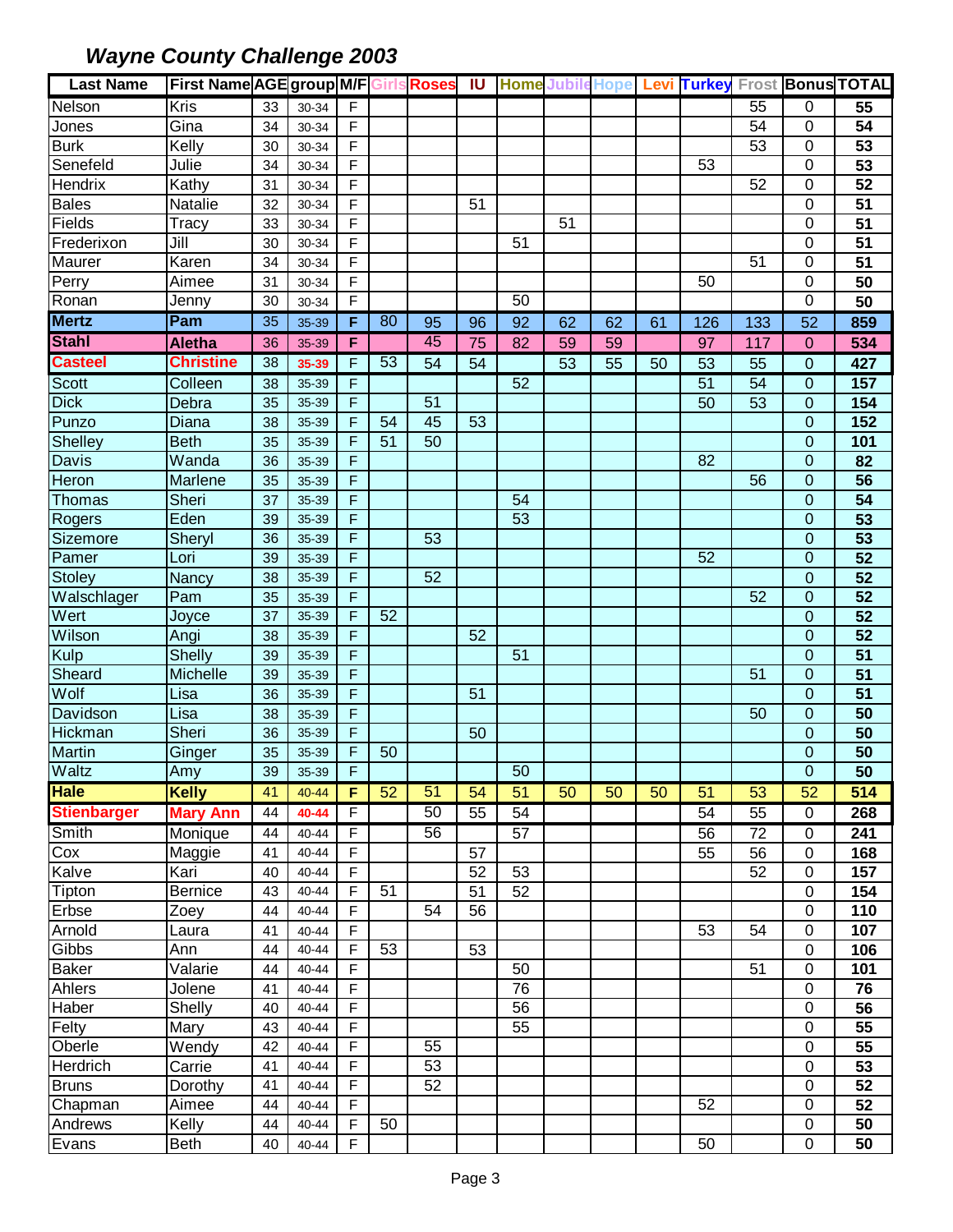| <b>Last Name</b>   | <b>First Name AGE group M/F Girls Roses</b> |    |           |                |    |    | <b>IU</b> |    |    |    |    |                 |     |                | <b>Home Jubile Hope Levi Turkey Frost Bonus TOTAL</b> |
|--------------------|---------------------------------------------|----|-----------|----------------|----|----|-----------|----|----|----|----|-----------------|-----|----------------|-------------------------------------------------------|
| Nelson             | Kris                                        | 33 | 30-34     | F.             |    |    |           |    |    |    |    |                 | 55  | 0              | 55                                                    |
| Jones              | Gina                                        | 34 | 30-34     | F              |    |    |           |    |    |    |    |                 | 54  | 0              | 54                                                    |
| <b>Burk</b>        | Kelly                                       | 30 | 30-34     | F              |    |    |           |    |    |    |    |                 | 53  | 0              | 53                                                    |
| Senefeld           | Julie                                       | 34 | 30-34     | F              |    |    |           |    |    |    |    | 53              |     | 0              | 53                                                    |
| Hendrix            | Kathy                                       | 31 | 30-34     | F              |    |    |           |    |    |    |    |                 | 52  | 0              | $\overline{52}$                                       |
| <b>Bales</b>       | Natalie                                     | 32 | 30-34     | F              |    |    | 51        |    |    |    |    |                 |     | 0              | 51                                                    |
| Fields             | Tracy                                       | 33 | 30-34     | F              |    |    |           |    | 51 |    |    |                 |     | 0              | 51                                                    |
| Frederixon         | Jill                                        | 30 | 30-34     | F              |    |    |           | 51 |    |    |    |                 |     | 0              | 51                                                    |
| Maurer             | Karen                                       | 34 | 30-34     | F              |    |    |           |    |    |    |    |                 | 51  | 0              | 51                                                    |
| Perry              | Aimee                                       | 31 | 30-34     | F              |    |    |           |    |    |    |    | 50              |     | 0              | 50                                                    |
| Ronan              | Jenny                                       | 30 | 30-34     | F              |    |    |           | 50 |    |    |    |                 |     | 0              | 50                                                    |
| <b>Mertz</b>       | Pam                                         | 35 | 35-39     | F.             | 80 | 95 | 96        | 92 | 62 | 62 | 61 | 126             | 133 | 52             | 859                                                   |
| <b>Stahl</b>       | <b>Aletha</b>                               | 36 | 35-39     | F.             |    | 45 | 75        | 82 | 59 | 59 |    | 97              | 117 | $\overline{0}$ | 534                                                   |
| <b>Casteel</b>     | <b>Christine</b>                            | 38 | 35-39     | F.             | 53 | 54 | 54        |    | 53 | 55 | 50 | 53              | 55  | $\mathbf 0$    | 427                                                   |
| Scott              | Colleen                                     | 38 | 35-39     | F              |    |    |           | 52 |    |    |    | $\overline{51}$ | 54  | 0              | 157                                                   |
| <b>Dick</b>        | Debra                                       | 35 | 35-39     | F              |    | 51 |           |    |    |    |    | 50              | 53  | 0              | 154                                                   |
| Punzo              | Diana                                       | 38 | 35-39     | F              | 54 | 45 | 53        |    |    |    |    |                 |     | 0              | 152                                                   |
| Shelley            | <b>Beth</b>                                 | 35 | 35-39     | F              | 51 | 50 |           |    |    |    |    |                 |     | 0              | 101                                                   |
| <b>Davis</b>       | Wanda                                       | 36 | 35-39     | F              |    |    |           |    |    |    |    | 82              |     | 0              | 82                                                    |
| Heron              | Marlene                                     | 35 | 35-39     | F              |    |    |           |    |    |    |    |                 | 56  | $\overline{0}$ | $\overline{56}$                                       |
| <b>Thomas</b>      | Sheri                                       | 37 | 35-39     | F              |    |    |           | 54 |    |    |    |                 |     | $\overline{0}$ | 54                                                    |
| Rogers             | Eden                                        | 39 | 35-39     | F              |    |    |           | 53 |    |    |    |                 |     | $\overline{0}$ | 53                                                    |
| Sizemore           | Sheryl                                      | 36 | 35-39     | F              |    | 53 |           |    |    |    |    |                 |     | 0              | 53                                                    |
| Pamer              | Lori                                        | 39 | 35-39     | F              |    |    |           |    |    |    |    | 52              |     | $\overline{0}$ | 52                                                    |
| Stoley             | Nancy                                       | 38 | 35-39     | F              |    | 52 |           |    |    |    |    |                 |     | $\overline{0}$ | 52                                                    |
| Walschlager        | Pam                                         | 35 | 35-39     | F              |    |    |           |    |    |    |    |                 | 52  | $\mathbf 0$    | 52                                                    |
| Wert               | Joyce                                       | 37 | 35-39     | F.             | 52 |    |           |    |    |    |    |                 |     | 0              | 52                                                    |
| Wilson             | Angi                                        | 38 | 35-39     | F              |    |    | 52        |    |    |    |    |                 |     | 0              | 52                                                    |
| Kulp               | <b>Shelly</b>                               | 39 | 35-39     | F              |    |    |           | 51 |    |    |    |                 |     | 0              | 51                                                    |
| Sheard             | Michelle                                    | 39 | 35-39     | F              |    |    |           |    |    |    |    |                 | 51  | $\overline{0}$ | 51                                                    |
| Wolf               | Lisa                                        | 36 | 35-39     | F              |    |    | 51        |    |    |    |    |                 |     | $\overline{0}$ | $\overline{51}$                                       |
| Davidson           | Lisa                                        | 38 | 35-39     | F              |    |    |           |    |    |    |    |                 | 50  | $\overline{0}$ | 50                                                    |
| <b>Hickman</b>     | Sheri                                       | 36 | 35-39     | F              |    |    | 50        |    |    |    |    |                 |     | $\overline{0}$ | 50                                                    |
| Martin             | Ginger                                      | 35 | 35-39     | F              | 50 |    |           |    |    |    |    |                 |     | $\overline{0}$ | 50                                                    |
| Waltz              | Amy                                         | 39 | 35-39     | $\overline{F}$ |    |    |           | 50 |    |    |    |                 |     | $\overline{0}$ | $\overline{50}$                                       |
| <b>Hale</b>        | <b>Kelly</b>                                | 41 | $40 - 44$ | F.             | 52 | 51 | 54        | 51 | 50 | 50 | 50 | 51              | 53  | 52             | 514                                                   |
| <b>Stienbarger</b> | <b>Mary Ann</b>                             | 44 | 40-44     | F.             |    | 50 | 55        | 54 |    |    |    | 54              | 55  | 0              | 268                                                   |
| Smith              | Monique                                     | 44 | $40 - 44$ | F.             |    | 56 |           | 57 |    |    |    | 56              | 72  | 0              | 241                                                   |
| Cox                | Maggie                                      | 41 | 40-44     | F              |    |    | 57        |    |    |    |    | 55              | 56  | 0              | 168                                                   |
| Kalve              | Kari                                        | 40 | 40-44     | F              |    |    | 52        | 53 |    |    |    |                 | 52  | 0              | 157                                                   |
| Tipton             | <b>Bernice</b>                              | 43 | 40-44     | F              | 51 |    | 51        | 52 |    |    |    |                 |     | 0              | 154                                                   |
| Erbse              | Zoey                                        | 44 | 40-44     | F              |    | 54 | 56        |    |    |    |    |                 |     | 0              | 110                                                   |
| Arnold             | Laura                                       | 41 | 40-44     | F.             |    |    |           |    |    |    |    | 53              | 54  | 0              | 107                                                   |
| Gibbs              | Ann                                         | 44 | 40-44     | F              | 53 |    | 53        |    |    |    |    |                 |     | 0              | 106                                                   |
| <b>Baker</b>       | Valarie                                     | 44 | 40-44     | F              |    |    |           | 50 |    |    |    |                 | 51  | 0              | 101                                                   |
| Ahlers             | Jolene                                      | 41 | 40-44     | F              |    |    |           | 76 |    |    |    |                 |     | 0              | 76                                                    |
| Haber              | Shelly                                      | 40 | 40-44     | F              |    |    |           | 56 |    |    |    |                 |     | 0              | 56                                                    |
| Felty              | Mary                                        | 43 | 40-44     | F              |    |    |           | 55 |    |    |    |                 |     | 0              | 55                                                    |
| Oberle             | Wendy                                       | 42 | 40-44     | F              |    | 55 |           |    |    |    |    |                 |     | 0              | 55                                                    |
| Herdrich           | Carrie                                      | 41 | 40-44     | F              |    | 53 |           |    |    |    |    |                 |     | 0              | 53                                                    |
| <b>Bruns</b>       | Dorothy                                     | 41 | 40-44     | F              |    | 52 |           |    |    |    |    |                 |     | 0              | 52                                                    |
| Chapman            | Aimee                                       | 44 | 40-44     | F              |    |    |           |    |    |    |    | 52              |     | 0              | 52                                                    |
| Andrews            | Kelly                                       | 44 | 40-44     | F              | 50 |    |           |    |    |    |    |                 |     | 0              | 50                                                    |
| Evans              | Beth                                        | 40 | 40-44     | F              |    |    |           |    |    |    |    | 50              |     | 0              | 50                                                    |